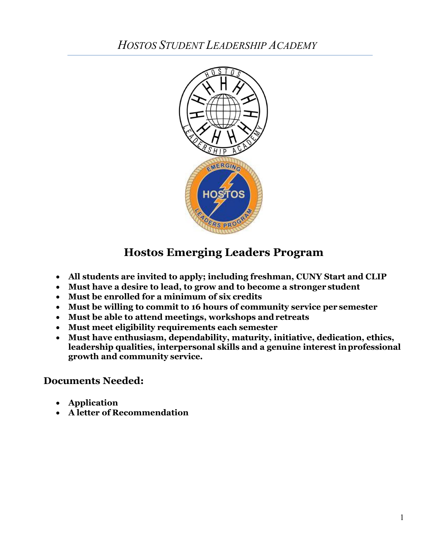

# **Hostos Emerging Leaders Program**

- **All students are invited to apply; including freshman, CUNY Start and CLIP**
- **Must have a desire to lead, to grow and to become a stronger student**
- **Must be enrolled for a minimum of six credits**
- **Must be willing to commit to 16 hours of community service per semester**
- **Must be able to attend meetings, workshops and retreats**
- **Must meet eligibility requirements each semester**
- **Must have enthusiasm, dependability, maturity, initiative, dedication, ethics, leadership qualities, interpersonal skills and a genuine interest inprofessional growth and community service.**

## **Documents Needed:**

- **Application**
- **A letter of Recommendation**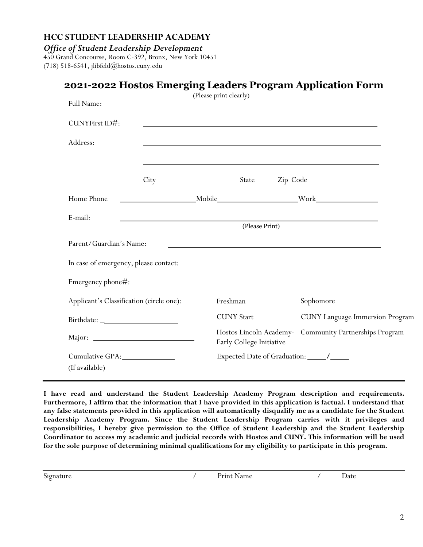*Office of Student Leadership Development*

450 Grand Concourse, Room C-392, Bronx, New York 10451 (718) 518-6541, [jlibfeld@hostos.cuny.edu](mailto:jlibfeld@hostos.cuny.edu) 

|                                                                                                                                                                                                                                                                                                                                                                                                                                                                                                                                                                                                                 |  | (Please print clearly)                                                                                                 |                                                        |
|-----------------------------------------------------------------------------------------------------------------------------------------------------------------------------------------------------------------------------------------------------------------------------------------------------------------------------------------------------------------------------------------------------------------------------------------------------------------------------------------------------------------------------------------------------------------------------------------------------------------|--|------------------------------------------------------------------------------------------------------------------------|--------------------------------------------------------|
| Full Name:                                                                                                                                                                                                                                                                                                                                                                                                                                                                                                                                                                                                      |  | <u> 1989 - Johann Stoff, deutscher Stoffen und der Stoffen und der Stoffen und der Stoffen und der Stoffen und de</u>  |                                                        |
| CUNYFirst ID#:                                                                                                                                                                                                                                                                                                                                                                                                                                                                                                                                                                                                  |  | <u> 1989 - Johann Stoff, deutscher Stoffen und der Stoffen und der Stoffen und der Stoffen und der Stoffen und der</u> |                                                        |
| Address:                                                                                                                                                                                                                                                                                                                                                                                                                                                                                                                                                                                                        |  |                                                                                                                        |                                                        |
|                                                                                                                                                                                                                                                                                                                                                                                                                                                                                                                                                                                                                 |  | <u> 1989 - Johann Stoff, amerikansk politiker (d. 1989)</u>                                                            |                                                        |
| Home Phone                                                                                                                                                                                                                                                                                                                                                                                                                                                                                                                                                                                                      |  | Mobile Work Work                                                                                                       |                                                        |
| E-mail:                                                                                                                                                                                                                                                                                                                                                                                                                                                                                                                                                                                                         |  | (Please Print)                                                                                                         |                                                        |
| Parent/Guardian's Name:                                                                                                                                                                                                                                                                                                                                                                                                                                                                                                                                                                                         |  |                                                                                                                        |                                                        |
| In case of emergency, please contact:                                                                                                                                                                                                                                                                                                                                                                                                                                                                                                                                                                           |  | <u> 1980 - John Stone, margin et al. (</u>                                                                             |                                                        |
| Emergency phone#:                                                                                                                                                                                                                                                                                                                                                                                                                                                                                                                                                                                               |  | <u> 1980 - Johann Barnett, fransk politik (f. 1980)</u>                                                                |                                                        |
| Applicant's Classification (circle one):                                                                                                                                                                                                                                                                                                                                                                                                                                                                                                                                                                        |  | Freshman                                                                                                               | Sophomore                                              |
| $\text{Birthdate:}\underline{\hspace{2cm}}\underline{\hspace{2cm}}\underline{\hspace{2cm}}\underline{\hspace{2cm}}\underline{\hspace{2cm}}\underline{\hspace{2cm}}\underline{\hspace{2cm}}\underline{\hspace{2cm}}\underline{\hspace{2cm}}\underline{\hspace{2cm}}\underline{\hspace{2cm}}\underline{\hspace{2cm}}\underline{\hspace{2cm}}\underline{\hspace{2cm}}\underline{\hspace{2cm}}\underline{\hspace{2cm}}\underline{\hspace{2cm}}\underline{\hspace{2cm}}\underline{\hspace{2cm}}\underline{\hspace{2cm}}\underline{\hspace{2cm}}\underline{\hspace{2cm}}\underline{\hspace{2cm}}\underline{\hspace{2$ |  | <b>CUNY</b> Start                                                                                                      | <b>CUNY</b> Language Immersion Program                 |
|                                                                                                                                                                                                                                                                                                                                                                                                                                                                                                                                                                                                                 |  | Early College Initiative                                                                                               | Hostos Lincoln Academy- Community Partnerships Program |
|                                                                                                                                                                                                                                                                                                                                                                                                                                                                                                                                                                                                                 |  |                                                                                                                        |                                                        |
| (If available)                                                                                                                                                                                                                                                                                                                                                                                                                                                                                                                                                                                                  |  |                                                                                                                        |                                                        |

 **Furthermore, I affirm that the information that I have provided in this application is factual. I understand that any false statements provided in this application will automatically disqualify me as a candidate for the Student Leadership Academy Program. Since the Student Leadership Program carries with it privileges and responsibilities, I hereby give permission to the Office of Student Leadership and the Student Leadership Coordinator to access my academic and judicial records with Hostos and CUNY. This information will be used for the sole purpose of determining minimal qualifications for my eligibility to participate in this program. I have read and understand the Student Leadership Academy Program description and requirements.**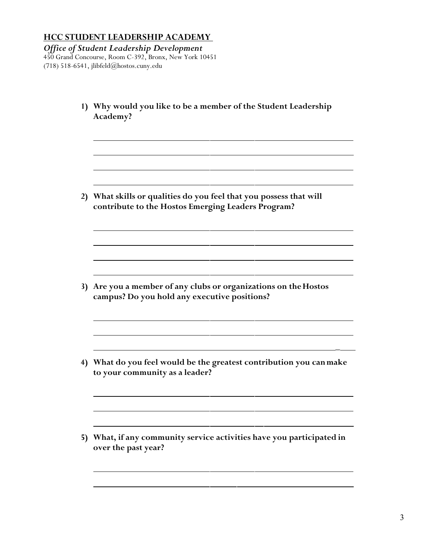*Office of Student Leadership Development* 450 Grand Concourse, Room C-392, Bronx, New York 10451 (718) 518-6541, [jlibfeld@hostos.cuny.edu](mailto:jlibfeld@hostos.cuny.edu) 

| 1) | Why would you like to be a member of the Student Leadership<br>Academy?                                               |
|----|-----------------------------------------------------------------------------------------------------------------------|
| 2) | What skills or qualities do you feel that you possess that will<br>contribute to the Hostos Emerging Leaders Program? |
| 3) | Are you a member of any clubs or organizations on the Hostos<br>campus? Do you hold any executive positions?          |
| 4) | What do you feel would be the greatest contribution you can make<br>to your community as a leader?                    |
| 5) | What, if any community service activities have you participated in<br>over the past year?                             |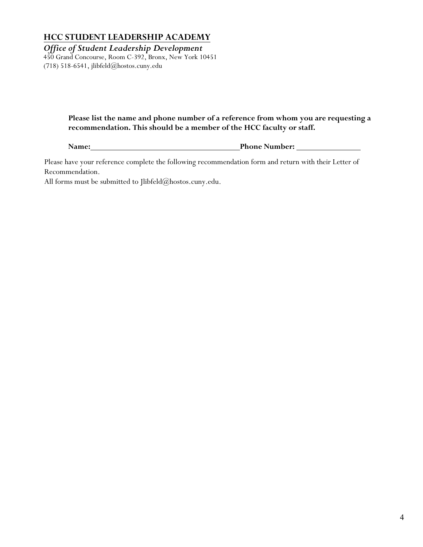*Office of Student Leadership Development*

450 Grand Concourse, Room C-392, Bronx, New York 10451 (718) 518-6541, [jlibfeld@hostos.cuny.edu](mailto:jlibfeld@hostos.cuny.edu) 

#### **Please list the name and phone number of a reference from whom you are requesting a recommendation. This should be a member of the HCC faculty or staff.**

**Name: Phone Number:** 

 Please have your reference complete the following recommendation form and return with their Letter of Recommendation.

All forms must be submitted to [Jlibfeld@hostos.cuny.edu.](mailto:Jlibfeld@hostos.cuny.edu)